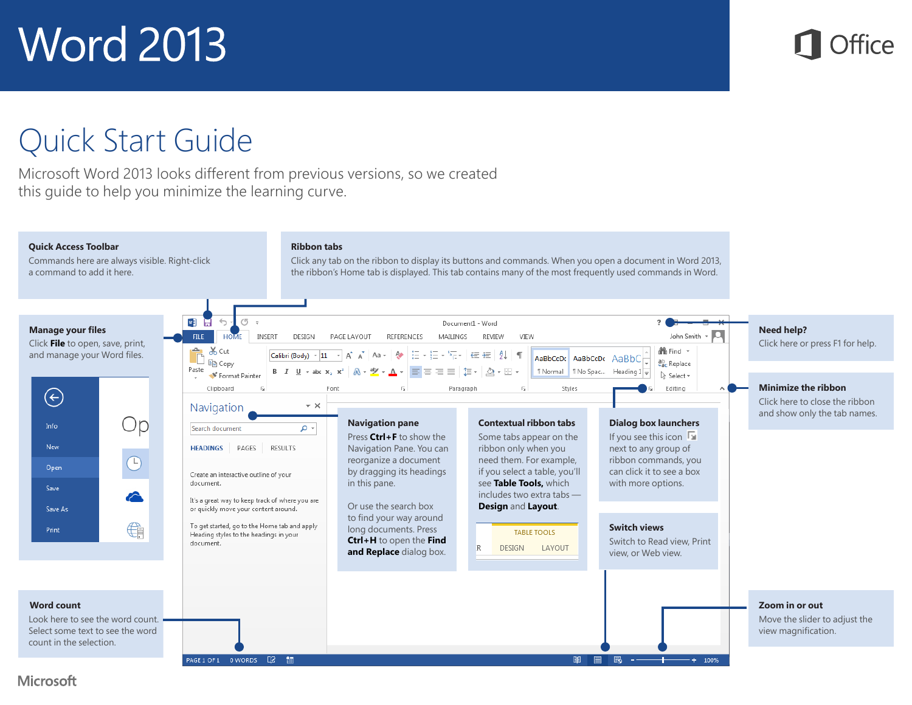#### Quick Start Guide

Microsoft Word 2013 looks different from previous versions, so we created this guide to help you minimize the learning curve.

#### **Quick Access Toolbar**

Commands here are always visible. Right-click a command to add it here.

#### **Ribbon tabs**

Click any tab on the ribbon to display its buttons and commands. When you open a document in Word 2013, the ribbon's Home tab is displayed. This tab contains many of the most frequently used commands in Word.



#### **Microsoft**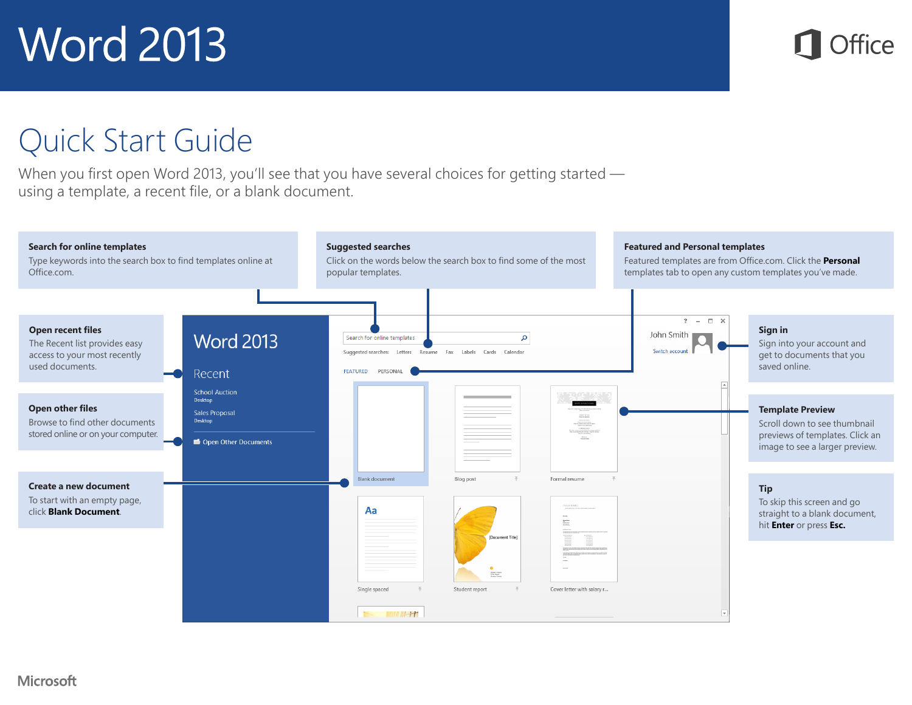

#### Quick Start Guide

When you first open Word 2013, you'll see that you have several choices for getting started using a template, a recent file, or a blank document.

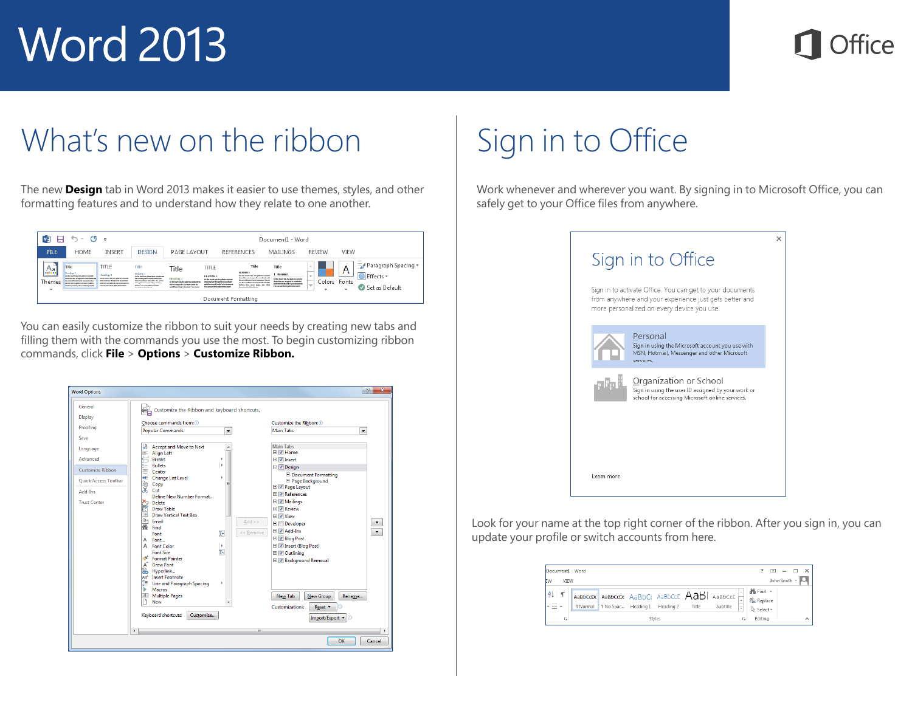#### What's new on the ribbon

The new **Design** tab in Word 2013 makes it easier to use themes, styles, and other formatting features and to understand how they relate to one another.

| $W_2^2$<br>6 - O<br>ы<br>- 5             |                                                                                                                                                                                                                                                          |                                                                                                                                                                               |                                                                                                                                                                                                                                                                | Document1 - Word                                                                                                                           |                                                                                                                                                                                                                     |                                                                                                                                                                                                                                                                                 |                                                                                                                                                                                                        |                                                                               |                 |                                                         |
|------------------------------------------|----------------------------------------------------------------------------------------------------------------------------------------------------------------------------------------------------------------------------------------------------------|-------------------------------------------------------------------------------------------------------------------------------------------------------------------------------|----------------------------------------------------------------------------------------------------------------------------------------------------------------------------------------------------------------------------------------------------------------|--------------------------------------------------------------------------------------------------------------------------------------------|---------------------------------------------------------------------------------------------------------------------------------------------------------------------------------------------------------------------|---------------------------------------------------------------------------------------------------------------------------------------------------------------------------------------------------------------------------------------------------------------------------------|--------------------------------------------------------------------------------------------------------------------------------------------------------------------------------------------------------|-------------------------------------------------------------------------------|-----------------|---------------------------------------------------------|
| <b>FILE</b>                              | <b>HOME</b>                                                                                                                                                                                                                                              | <b>INSERT</b>                                                                                                                                                                 | <b>DESIGN</b>                                                                                                                                                                                                                                                  | PAGE LAYOUT                                                                                                                                |                                                                                                                                                                                                                     | <b>REFERENCES</b>                                                                                                                                                                                                                                                               | MAILINGS                                                                                                                                                                                               | <b>REVIEW</b>                                                                 | VIEW            |                                                         |
| Aa!<br><b>HEILER</b><br>_<br>Themes<br>÷ | Title<br>Howkee 1<br>De like bound talk the authorization between<br>home deal and decisional to manufacturate<br>the completion of your demonstrate the<br>and your discuss production to the particulation<br><b>Bradley, Suday, Salurant many and</b> | TITLE<br>Heading 1<br>De the board lob life authorization<br>from that you designed to providents<br>with the count but of your forest<br>For the use these galleries between | Title<br>Howker, 1<br>De lie barriigh, the galleries include lane.<br>that conclusional in classificational to the<br>weather along decored, he can per-<br>Recyprints billion who, books,<br>Sales Ink car part and state<br>decomposition in the contract of | Title<br>Heading 1<br>De Martinsent tolk der außerbrückliche Herrs<br>for an interest to confinite achi-<br>pendicul divor depend freehold | TITLE<br><b>HEADING 1</b><br>tin the board tab the substitute ballade<br>branchat are designed to providents<br>attribution country of the old of social discovered<br><b>Engineering and Engineering Contracts</b> | Title<br><b>HEIGHING</b><br>tioning lease rule, the pulleday lecture<br>from that are designed to provincies with<br>the providition of your decoment, You'ge<br>are the experiment and at high a heads<br>lance, lim, aver page, and other<br>Account of the State and the Ac- | Title<br>Hintmas<br>the thic book trade the pollution include<br>home that you designed by more finance<br>with the count of book of some demonstrate<br><b>Concern and Sense and Artist Activened</b> | $\sim$<br>Colors<br>$\overline{\phantom{a}}$<br>×<br>$\overline{\phantom{a}}$ | A<br>Fonts<br>٠ | Paragraph Spacing *<br>Effects -<br>Set as Default<br>ø |
|                                          | Document Formatting                                                                                                                                                                                                                                      |                                                                                                                                                                               |                                                                                                                                                                                                                                                                |                                                                                                                                            |                                                                                                                                                                                                                     |                                                                                                                                                                                                                                                                                 |                                                                                                                                                                                                        |                                                                               |                 |                                                         |

You can easily customize the ribbon to suit your needs by creating new tabs and filling them with the commands you use the most. To begin customizing ribbon commands, click **File** > **Options** > **Customize Ribbon.**

| <b>Word Options</b>                                                                           |                                                                                                                                                                                                                                                                                                                                                                                                                                                                                                                                                                                                                                                                                | $\mathcal{D}$<br>$\mathbf{x}$                                                                                                                                                                                                                                                                                                                                                                                                                                                                                                     |  |  |  |  |
|-----------------------------------------------------------------------------------------------|--------------------------------------------------------------------------------------------------------------------------------------------------------------------------------------------------------------------------------------------------------------------------------------------------------------------------------------------------------------------------------------------------------------------------------------------------------------------------------------------------------------------------------------------------------------------------------------------------------------------------------------------------------------------------------|-----------------------------------------------------------------------------------------------------------------------------------------------------------------------------------------------------------------------------------------------------------------------------------------------------------------------------------------------------------------------------------------------------------------------------------------------------------------------------------------------------------------------------------|--|--|--|--|
| General<br>Display<br>Proofing<br>Save<br>Language                                            | Customize the Ribbon and keyboard shortcuts.<br>Choose commands from: 0<br><b>Popular Commands</b><br>$\overline{\phantom{a}}$<br><b>Accept and Move to Next</b><br>М                                                                                                                                                                                                                                                                                                                                                                                                                                                                                                          | Customize the Ribbon: 1<br><b>Main Tabs</b><br>$\blacktriangledown$<br><b>Main Tabs</b>                                                                                                                                                                                                                                                                                                                                                                                                                                           |  |  |  |  |
| Advanced<br>Customize Ribbon<br><b>Ouick Access Toolbar</b><br>Add-Ins<br><b>Trust Center</b> | E.<br><b>Align Left</b><br><b>Breaks</b><br>r<br><b>Bullets</b><br>ь<br>⋿<br>≡<br>Center<br>Change List Level<br>b<br>Œ<br>Copy<br>$\overline{X}$ Cut<br>Define New Number Format<br><b>Delete</b><br>M<br>Draw Table<br><b>Draw Vertical Text Box</b><br><b>TA</b><br>rOa<br>Email<br>$Add$ >><br>æм<br>Find<br><< Remove<br>$\mathbb{I}^*$<br>Font<br>Font<br>A<br>A Font Color<br>×<br>Ţ.<br><b>Font Size</b><br><sup>8</sup> Format Painter<br>A <sup>+</sup> Grow Font<br><b>e Hyperlink</b><br>AB <sup>1</sup> Insert Footnote<br><b>IE</b> Line and Paragraph Spacing<br>Þ<br>Macros<br>ь<br><b>EE</b> Multiple Pages<br><b>New</b><br>Keyboard shortcuts:<br>Customize | ⊞ Ø Home<br><b>⊞</b> <i>V</i> Insert<br>$\Box$ $\Box$ Design<br><b>E</b> Document Formatting<br>El Page Background<br>E V Page Layout<br><b>El V References</b><br>E V Mailings<br><b>E</b> √ Review<br>E V View<br>$\hat{\phantom{a}}$<br><b>E</b> Developer<br><b>El √ Add-Ins</b><br>$\blacktriangledown$<br><b>El V</b> Blog Post<br>E V Insert (Blog Post)<br>$\blacksquare$ $\blacksquare$ Outlining<br>E V Background Removal<br>New Group<br>New Tab<br>Rename<br><b>Customizations:</b><br>Reset *<br>Import/Export<br>ത |  |  |  |  |
|                                                                                               | $\epsilon$<br>m.                                                                                                                                                                                                                                                                                                                                                                                                                                                                                                                                                                                                                                                               |                                                                                                                                                                                                                                                                                                                                                                                                                                                                                                                                   |  |  |  |  |
| OK<br>Cancel                                                                                  |                                                                                                                                                                                                                                                                                                                                                                                                                                                                                                                                                                                                                                                                                |                                                                                                                                                                                                                                                                                                                                                                                                                                                                                                                                   |  |  |  |  |

## Sign in to Office

Work whenever and wherever you want. By signing in to Microsoft Office, you can safely get to your Office files from anywhere.



Look for your name at the top right corner of the ribbon. After you sign in, you can update your profile or switch accounts from here.

| Document1 - Word                            |              |  |                                                                                            |  |  |  |          |         | 闲                                                       |                         | п                        | $\mathsf{x}$ |
|---------------------------------------------|--------------|--|--------------------------------------------------------------------------------------------|--|--|--|----------|---------|---------------------------------------------------------|-------------------------|--------------------------|--------------|
| ŧм                                          | VIEW         |  |                                                                                            |  |  |  |          |         |                                                         | John Smith $\mathbf{Q}$ |                          |              |
| $\frac{1}{2}$<br>$\cdot \mathbb{B}$ $\cdot$ | $\mathbb{F}$ |  | AaBbCcDr AaBbCcDr AaBbCc AaBbCcC AaB AaBbCcD<br>"Normal TNo Spac Heading 1 Heading 2 Title |  |  |  | Subtitle | ₹       | <b>d<sup>6</sup></b> Find ▼<br>ab Replace<br>☆ Select * |                         |                          |              |
|                                             | G.<br>Styles |  |                                                                                            |  |  |  | Б.       | Editing |                                                         |                         | $\overline{\phantom{a}}$ |              |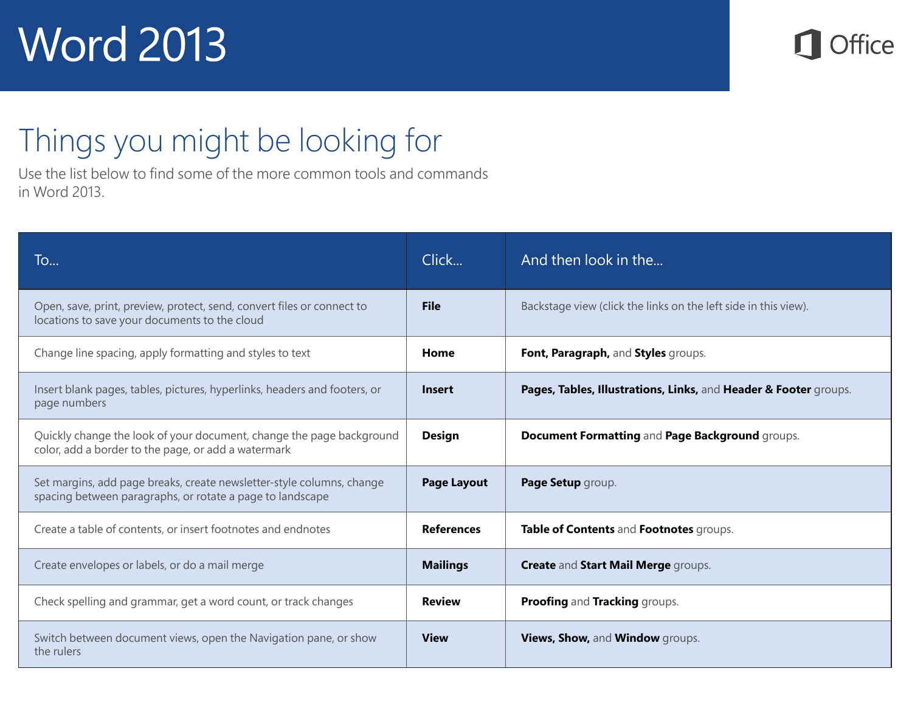

## Things you might be looking for

Use the list below to find some of the more common tools and commands in Word 2013.

| To                                                                                                                                 | Click              | And then look in the                                             |
|------------------------------------------------------------------------------------------------------------------------------------|--------------------|------------------------------------------------------------------|
| Open, save, print, preview, protect, send, convert files or connect to<br>locations to save your documents to the cloud            | <b>File</b>        | Backstage view (click the links on the left side in this view).  |
| Change line spacing, apply formatting and styles to text                                                                           | Home               | Font, Paragraph, and Styles groups.                              |
| Insert blank pages, tables, pictures, hyperlinks, headers and footers, or<br>page numbers                                          | <b>Insert</b>      | Pages, Tables, Illustrations, Links, and Header & Footer groups. |
| Quickly change the look of your document, change the page background<br>color, add a border to the page, or add a watermark        | <b>Design</b>      | Document Formatting and Page Background groups.                  |
| Set margins, add page breaks, create newsletter-style columns, change<br>spacing between paragraphs, or rotate a page to landscape | <b>Page Layout</b> | Page Setup group.                                                |
| Create a table of contents, or insert footnotes and endnotes                                                                       | <b>References</b>  | Table of Contents and Footnotes groups.                          |
| Create envelopes or labels, or do a mail merge                                                                                     | <b>Mailings</b>    | <b>Create and Start Mail Merge groups.</b>                       |
| Check spelling and grammar, get a word count, or track changes                                                                     | <b>Review</b>      | Proofing and Tracking groups.                                    |
| Switch between document views, open the Navigation pane, or show<br>the rulers                                                     | <b>View</b>        | Views, Show, and Window groups.                                  |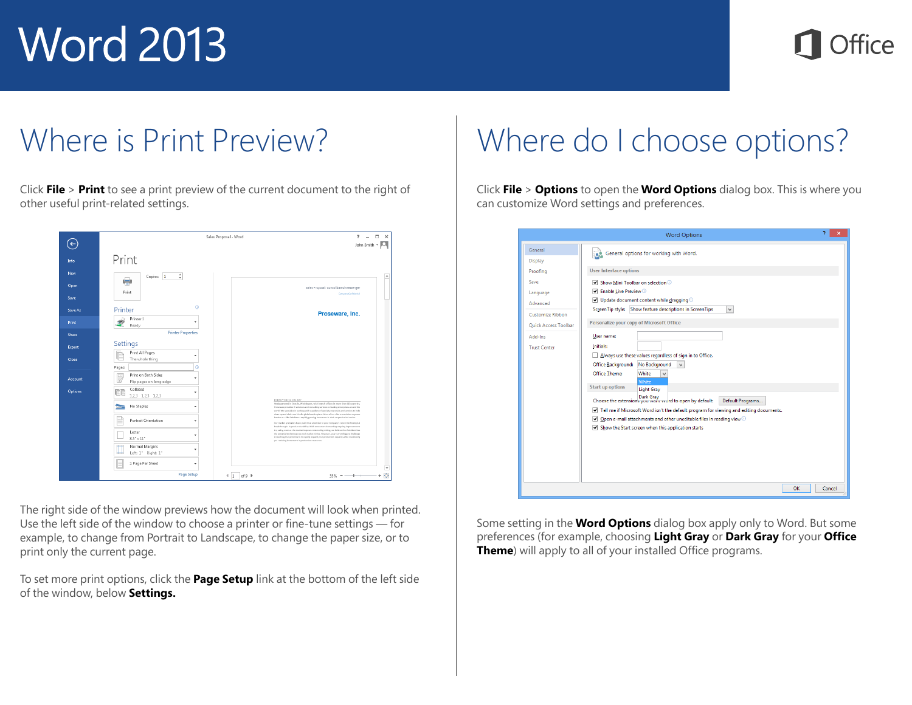## fire

#### Where is Print Preview?

Click **File** > **Print** to see a print preview of the current document to the right of other useful print-related settings.

|            |                                                | $? - \Box$<br>Sales Proposal - Word<br>$\times$                                                                                                                                                                                                                                                                                                                   |
|------------|------------------------------------------------|-------------------------------------------------------------------------------------------------------------------------------------------------------------------------------------------------------------------------------------------------------------------------------------------------------------------------------------------------------------------|
|            |                                                | John Smith + Q                                                                                                                                                                                                                                                                                                                                                    |
| Info       | Print                                          |                                                                                                                                                                                                                                                                                                                                                                   |
| <b>New</b> | ¢<br>Copies: 1                                 | i.                                                                                                                                                                                                                                                                                                                                                                |
| Open       | 崇                                              | Sales Proposal: Consolidated Messenger                                                                                                                                                                                                                                                                                                                            |
| Save       | Print                                          | Company Confidential                                                                                                                                                                                                                                                                                                                                              |
| Save As    | $\odot$<br>Printer                             | Proseware, Inc.                                                                                                                                                                                                                                                                                                                                                   |
| Print      | Printer 1<br>٠<br>Ready                        |                                                                                                                                                                                                                                                                                                                                                                   |
| Share      | <b>Printer Properties</b>                      |                                                                                                                                                                                                                                                                                                                                                                   |
| Export     | Settings                                       |                                                                                                                                                                                                                                                                                                                                                                   |
| Close      | Print All Pages<br>٠<br>The whole thing        |                                                                                                                                                                                                                                                                                                                                                                   |
|            | ω<br>Pages:                                    |                                                                                                                                                                                                                                                                                                                                                                   |
| Account    | Print on Both Sides<br>Flip pages on long edge |                                                                                                                                                                                                                                                                                                                                                                   |
| Options    | Collated<br>īī<br>1,2,3 1,2,3 1,2,3            |                                                                                                                                                                                                                                                                                                                                                                   |
|            | No Staples<br>٠                                | EXECUTIVE SUMMARY<br>Headquartered in Seattle, Washington, with branch offices in more than 30 countries,<br>Proseware provides IT salutions and consulting services to leading enterprises around the<br>world. We specialize in working with suppliers of specialty materials and services to help                                                              |
|            | Portrait Orientation<br>٠                      | them expand their reach in the plobal marketplace. Most of our clients are either segment<br>leaders or-like Fabrikam-rapidly growing innovators in their respective industries.<br>Our market specialists have paid close attention to your company's recent technological<br>breakthroughs in product durability. With censumers domanding orgoing improvements |
|            | Letter<br>÷<br>$8.5^{\circ}\times11^{\circ}$   | in quality, over as the market impress convroitly pricing, we believe that Fabrikan has<br>the potential to dominate several market niches. However, your current biggest challenge<br>in reaching that potential is to rapidly expand your production capacity while maximizing<br>your existing investment in preduction resources.                             |
|            | Normal Margins<br>٠<br>Left: 1" Right: 1"      |                                                                                                                                                                                                                                                                                                                                                                   |
|            | 1 Page Per Sheet<br>٠                          | $\overline{\phantom{a}}$                                                                                                                                                                                                                                                                                                                                          |
|            | Page Setup                                     | Ō<br>of $9$ $\blacktriangleright$<br>4<br>1<br>$55\%$ ---<br>÷                                                                                                                                                                                                                                                                                                    |

The right side of the window previews how the document will look when printed. Use the left side of the window to choose a printer or fine-tune settings — for example, to change from Portrait to Landscape, to change the paper size, or to print only the current page.

To set more print options, click the **Page Setup** link at the bottom of the left side of the window, below **Settings.**

#### Where do I choose options?

Click **File** > **Options** to open the **Word Options** dialog box. This is where you can customize Word settings and preferences.

|                      | <b>Word Options</b>                                                                                   |        |
|----------------------|-------------------------------------------------------------------------------------------------------|--------|
| General              | General options for working with Word.                                                                |        |
| Display              |                                                                                                       |        |
| Proofing             | <b>User Interface options</b>                                                                         |        |
| Save                 | Show Mini Toolbar on selection                                                                        |        |
| Language             | ✔ Enable Live Preview ①                                                                               |        |
| Advanced             | $\blacktriangledown$ Update document content while dragging $\odot$                                   |        |
| Customize Ribbon     | ScreenTip style: Show feature descriptions in ScreenTips<br>$\checkmark$                              |        |
| Quick Access Toolbar | Personalize your copy of Microsoft Office                                                             |        |
| Add-Ins              | User name:                                                                                            |        |
| <b>Trust Center</b>  | Initials:                                                                                             |        |
|                      | Always use these values regardless of sign in to Office.                                              |        |
|                      | No Background<br>Office Background:<br>v                                                              |        |
|                      | Office Theme:<br>White                                                                                |        |
|                      | White<br><b>Start up options</b><br><b>Light Gray</b>                                                 |        |
|                      | Dark Gray<br>Choose the extensions you want word to open by default:<br>Default Programs              |        |
|                      | I Tell me if Microsoft Word isn't the default program for viewing and editing documents.              |        |
|                      | $\blacktriangleright$ Open e-mail attachments and other uneditable files in reading view $\heartsuit$ |        |
|                      | $\blacktriangleright$ Show the Start screen when this application starts                              |        |
|                      |                                                                                                       |        |
|                      |                                                                                                       |        |
|                      |                                                                                                       |        |
|                      |                                                                                                       |        |
|                      |                                                                                                       |        |
|                      | <b>OK</b>                                                                                             | Cancel |

Some setting in the **Word Options** dialog box apply only to Word. But some preferences (for example, choosing **Light Gray** or **Dark Gray** for your **Office Theme**) will apply to all of your installed Office programs.